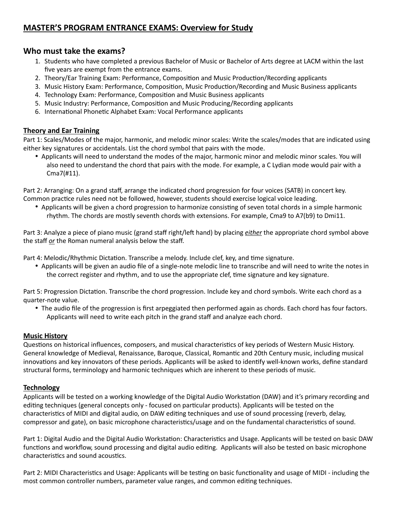# **MASTER'S PROGRAM ENTRANCE EXAMS: Overview for Study**

## **Who must take the exams?**

- 1. Students who have completed a previous Bachelor of Music or Bachelor of Arts degree at LACM within the last five years are exempt from the entrance exams.
- 2. Theory/Ear Training Exam: Performance, Composition and Music Production/Recording applicants
- 3. Music History Exam: Performance, Composition, Music Production/Recording and Music Business applicants
- 4. Technology Exam: Performance, Composition and Music Business applicants
- 5. Music Industry: Performance, Composition and Music Producing/Recording applicants
- 6. International Phonetic Alphabet Exam: Vocal Performance applicants

### **Theory and Ear Training**

Part 1: Scales/Modes of the major, harmonic, and melodic minor scales: Write the scales/modes that are indicated using either key signatures or accidentals. List the chord symbol that pairs with the mode.

• Applicants will need to understand the modes of the major, harmonic minor and melodic minor scales. You will also need to understand the chord that pairs with the mode. For example, a C Lydian mode would pair with a Cma7(#11).

Part 2: Arranging: On a grand staff, arrange the indicated chord progression for four voices (SATB) in concert key. Common practice rules need not be followed, however, students should exercise logical voice leading.

• Applicants will be given a chord progression to harmonize consisting of seven total chords in a simple harmonic rhythm. The chords are mostly seventh chords with extensions. For example, Cma9 to A7(b9) to Dmi11.

Part 3: Analyze a piece of piano music (grand staff right/left hand) by placing *either* the appropriate chord symbol above the staff *or* the Roman numeral analysis below the staff.

Part 4: Melodic/Rhythmic Dictation. Transcribe a melody. Include clef, key, and time signature.

• Applicants will be given an audio file of a single-note melodic line to transcribe and will need to write the notes in the correct register and rhythm, and to use the appropriate clef, time signature and key signature.

Part 5: Progression Dictation. Transcribe the chord progression. Include key and chord symbols. Write each chord as a quarter-note value.

• The audio file of the progression is first arpeggiated then performed again as chords. Each chord has four factors. Applicants will need to write each pitch in the grand staff and analyze each chord.

### **Music History**

Questions on historical influences, composers, and musical characteristics of key periods of Western Music History. General knowledge of Medieval, Renaissance, Baroque, Classical, Romantic and 20th Century music, including musical innovations and key innovators of these periods. Applicants will be asked to identify well-known works, define standard structural forms, terminology and harmonic techniques which are inherent to these periods of music.

### **Technology**

Applicants will be tested on a working knowledge of the Digital Audio Workstation (DAW) and it's primary recording and editing techniques (general concepts only - focused on particular products). Applicants will be tested on the characteristics of MIDI and digital audio, on DAW editing techniques and use of sound processing (reverb, delay, compressor and gate), on basic microphone characteristics/usage and on the fundamental characteristics of sound.

Part 1: Digital Audio and the Digital Audio Workstation: Characteristics and Usage. Applicants will be tested on basic DAW functions and workflow, sound processing and digital audio editing. Applicants will also be tested on basic microphone characteristics and sound acoustics.

Part 2: MIDI Characteristics and Usage: Applicants will be testing on basic functionality and usage of MIDI - including the most common controller numbers, parameter value ranges, and common editing techniques.